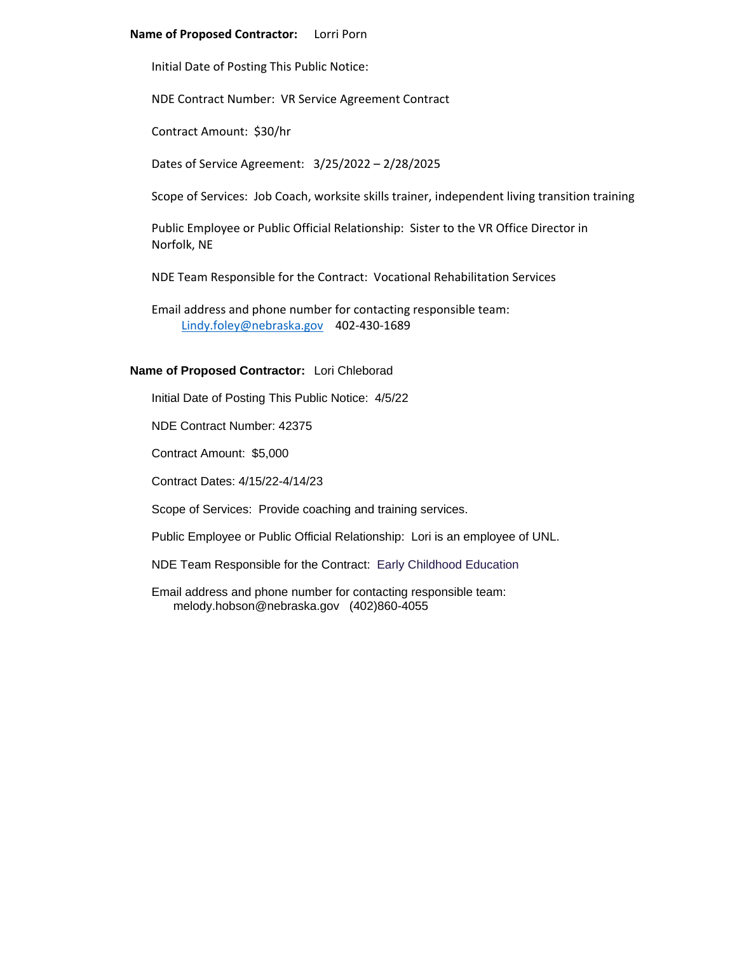# **Name of Proposed Contractor:** Lorri Porn

Initial Date of Posting This Public Notice:

NDE Contract Number: VR Service Agreement Contract

Contract Amount: \$30/hr

Dates of Service Agreement: 3/25/2022 – 2/28/2025

Scope of Services: Job Coach, worksite skills trainer, independent living transition training

Public Employee or Public Official Relationship: Sister to the VR Office Director in Norfolk, NE

NDE Team Responsible for the Contract: Vocational Rehabilitation Services

Email address and phone number for contacting responsible team: [Lindy.foley@nebraska.gov](mailto:Lindy.foley@nebraska.gov) 402-430-1689

# **Name of Proposed Contractor:** Lori Chleborad

Initial Date of Posting This Public Notice: 4/5/22

NDE Contract Number: 42375

Contract Amount: \$5,000

Contract Dates: 4/15/22-4/14/23

Scope of Services: Provide coaching and training services.

Public Employee or Public Official Relationship: Lori is an employee of UNL.

NDE Team Responsible for the Contract: Early Childhood Education

Email address and phone number for contacting responsible team: melody.hobson@nebraska.gov (402)860-4055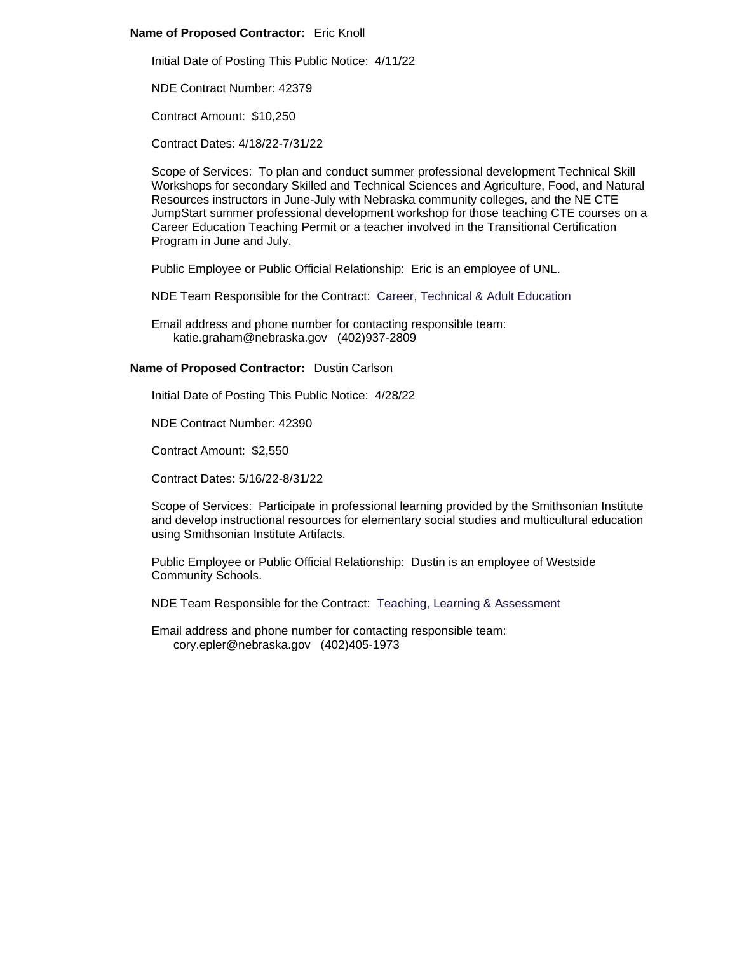# **Name of Proposed Contractor:** Eric Knoll

Initial Date of Posting This Public Notice: 4/11/22

NDE Contract Number: 42379

Contract Amount: \$10,250

Contract Dates: 4/18/22-7/31/22

Scope of Services: To plan and conduct summer professional development Technical Skill Workshops for secondary Skilled and Technical Sciences and Agriculture, Food, and Natural Resources instructors in June-July with Nebraska community colleges, and the NE CTE JumpStart summer professional development workshop for those teaching CTE courses on a Career Education Teaching Permit or a teacher involved in the Transitional Certification Program in June and July.

Public Employee or Public Official Relationship: Eric is an employee of UNL.

NDE Team Responsible for the Contract: Career, Technical & Adult Education

Email address and phone number for contacting responsible team: katie.graham@nebraska.gov (402)937-2809

### **Name of Proposed Contractor:** Dustin Carlson

Initial Date of Posting This Public Notice: 4/28/22

NDE Contract Number: 42390

Contract Amount: \$2,550

Contract Dates: 5/16/22-8/31/22

Scope of Services: Participate in professional learning provided by the Smithsonian Institute and develop instructional resources for elementary social studies and multicultural education using Smithsonian Institute Artifacts.

Public Employee or Public Official Relationship: Dustin is an employee of Westside Community Schools.

NDE Team Responsible for the Contract: Teaching, Learning & Assessment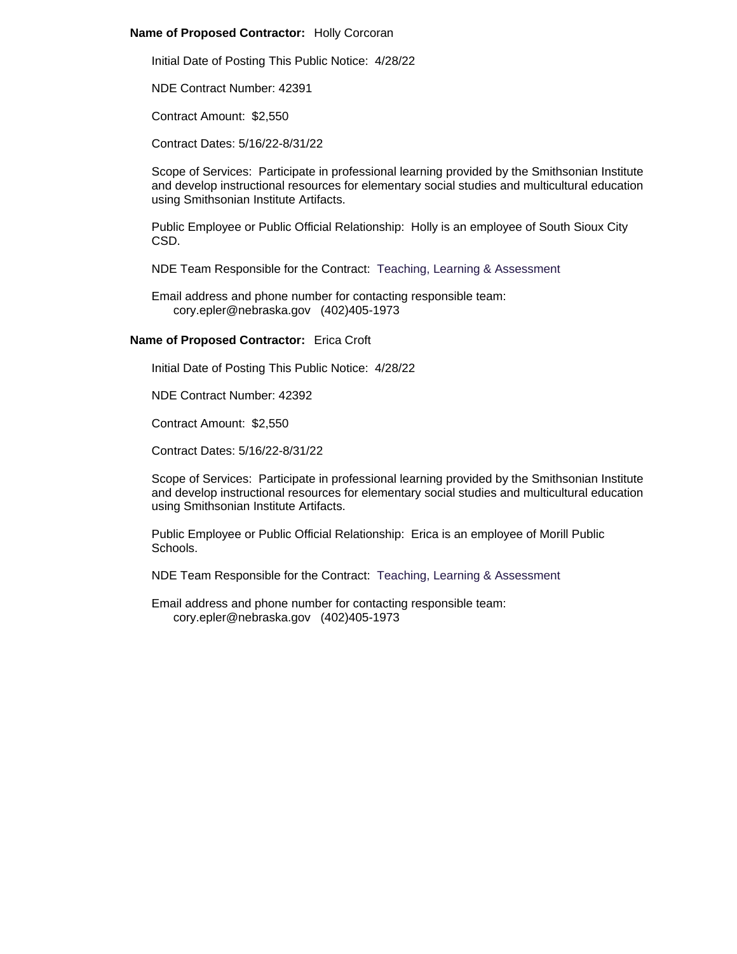# **Name of Proposed Contractor:** Holly Corcoran

Initial Date of Posting This Public Notice: 4/28/22

NDE Contract Number: 42391

Contract Amount: \$2,550

Contract Dates: 5/16/22-8/31/22

Scope of Services: Participate in professional learning provided by the Smithsonian Institute and develop instructional resources for elementary social studies and multicultural education using Smithsonian Institute Artifacts.

Public Employee or Public Official Relationship: Holly is an employee of South Sioux City CSD.

NDE Team Responsible for the Contract: Teaching, Learning & Assessment

Email address and phone number for contacting responsible team: cory.epler@nebraska.gov (402)405-1973

### **Name of Proposed Contractor:** Erica Croft

Initial Date of Posting This Public Notice: 4/28/22

NDE Contract Number: 42392

Contract Amount: \$2,550

Contract Dates: 5/16/22-8/31/22

Scope of Services: Participate in professional learning provided by the Smithsonian Institute and develop instructional resources for elementary social studies and multicultural education using Smithsonian Institute Artifacts.

Public Employee or Public Official Relationship: Erica is an employee of Morill Public Schools.

NDE Team Responsible for the Contract: Teaching, Learning & Assessment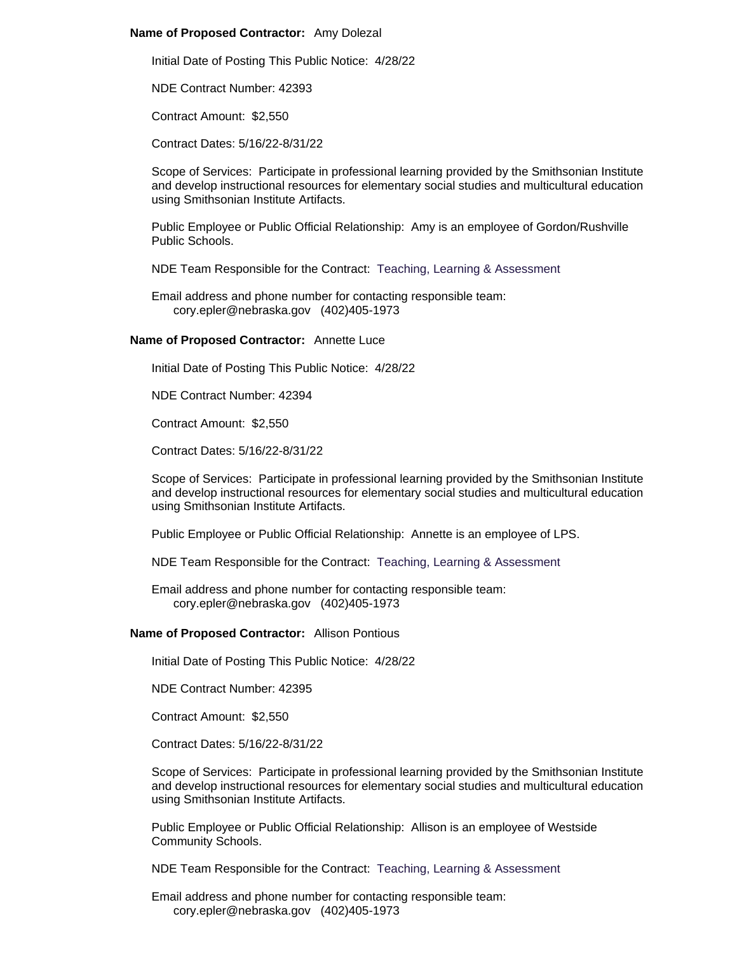### **Name of Proposed Contractor:** Amy Dolezal

Initial Date of Posting This Public Notice: 4/28/22

NDE Contract Number: 42393

Contract Amount: \$2,550

Contract Dates: 5/16/22-8/31/22

Scope of Services: Participate in professional learning provided by the Smithsonian Institute and develop instructional resources for elementary social studies and multicultural education using Smithsonian Institute Artifacts.

Public Employee or Public Official Relationship: Amy is an employee of Gordon/Rushville Public Schools.

NDE Team Responsible for the Contract: Teaching, Learning & Assessment

Email address and phone number for contacting responsible team: cory.epler@nebraska.gov (402)405-1973

#### **Name of Proposed Contractor:** Annette Luce

Initial Date of Posting This Public Notice: 4/28/22

NDE Contract Number: 42394

Contract Amount: \$2,550

Contract Dates: 5/16/22-8/31/22

Scope of Services: Participate in professional learning provided by the Smithsonian Institute and develop instructional resources for elementary social studies and multicultural education using Smithsonian Institute Artifacts.

Public Employee or Public Official Relationship: Annette is an employee of LPS.

NDE Team Responsible for the Contract: Teaching, Learning & Assessment

Email address and phone number for contacting responsible team: cory.epler@nebraska.gov (402)405-1973

#### **Name of Proposed Contractor:** Allison Pontious

Initial Date of Posting This Public Notice: 4/28/22

NDE Contract Number: 42395

Contract Amount: \$2,550

Contract Dates: 5/16/22-8/31/22

Scope of Services: Participate in professional learning provided by the Smithsonian Institute and develop instructional resources for elementary social studies and multicultural education using Smithsonian Institute Artifacts.

Public Employee or Public Official Relationship: Allison is an employee of Westside Community Schools.

NDE Team Responsible for the Contract: Teaching, Learning & Assessment